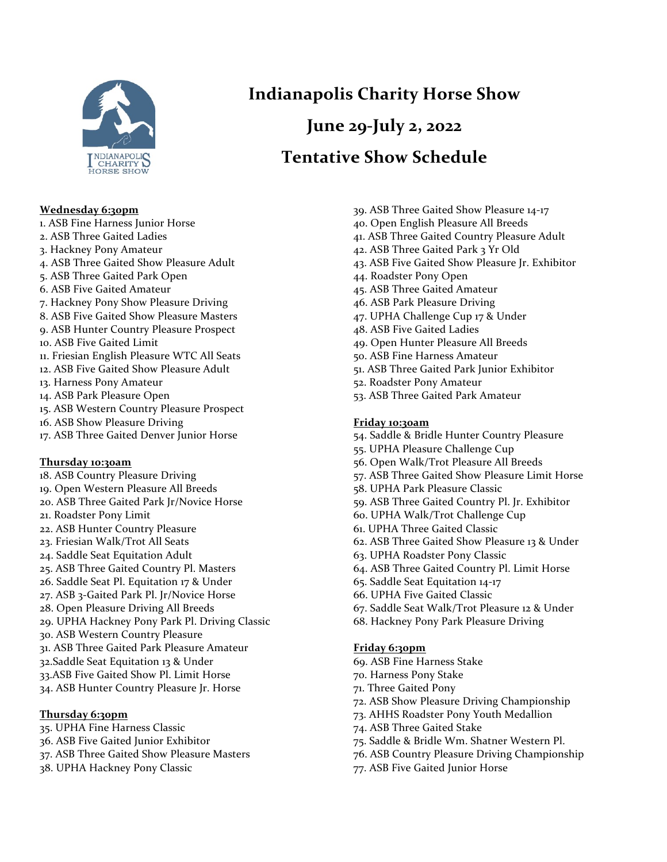

#### **Wednesday 6:30pm**

- 1. ASB Fine Harness Junior Horse 2. ASB Three Gaited Ladies 3. Hackney Pony Amateur 4. ASB Three Gaited Show Pleasure Adult 5. ASB Three Gaited Park Open 6. ASB Five Gaited Amateur 7. Hackney Pony Show Pleasure Driving 8. ASB Five Gaited Show Pleasure Masters 9. ASB Hunter Country Pleasure Prospect 10. ASB Five Gaited Limit 11. Friesian English Pleasure WTC All Seats 12. ASB Five Gaited Show Pleasure Adult 13. Harness Pony Amateur 14. ASB Park Pleasure Open
- 15. ASB Western Country Pleasure Prospect
- 16. ASB Show Pleasure Driving
- 17. ASB Three Gaited Denver Junior Horse

#### **Thursday 10:30am**

- 18. ASB Country Pleasure Driving
- 19. Open Western Pleasure All Breeds
- 20. ASB Three Gaited Park Jr/Novice Horse
- 21. Roadster Pony Limit
- 22. ASB Hunter Country Pleasure
- 23. Friesian Walk/Trot All Seats
- 24. Saddle Seat Equitation Adult
- 25. ASB Three Gaited Country Pl. Masters
- 26. Saddle Seat Pl. Equitation 17 & Under
- 27. ASB 3-Gaited Park Pl. Jr/Novice Horse
- 28. Open Pleasure Driving All Breeds
- 29. UPHA Hackney Pony Park Pl. Driving Classic
- 30. ASB Western Country Pleasure
- 31. ASB Three Gaited Park Pleasure Amateur
- 32. Saddle Seat Equitation 13 & Under
- 33.ASB Five Gaited Show Pl. Limit Horse
- 34. ASB Hunter Country Pleasure Jr. Horse

#### **Thursday 6:30pm**

- 35. UPHA Fine Harness Classic
- 36. ASB Five Gaited Junior Exhibitor
- 37. ASB Three Gaited Show Pleasure Masters
- 38. UPHA Hackney Pony Classic

## **Indianapolis Charity Horse Show**

# **June 29-July 2, 2022**

### **Tentative Show Schedule**

- 39. ASB Three Gaited Show Pleasure 14-17
- 40. Open English Pleasure All Breeds
- 41. ASB Three Gaited Country Pleasure Adult
- 42. ASB Three Gaited Park 3 Yr Old
- 43. ASB Five Gaited Show Pleasure Jr. Exhibitor
- 44. Roadster Pony Open
- 45. ASB Three Gaited Amateur
- 46. ASB Park Pleasure Driving
- 47. UPHA Challenge Cup 17 & Under
- 48. ASB Five Gaited Ladies
- 49. Open Hunter Pleasure All Breeds
- 50. ASB Fine Harness Amateur
- 51. ASB Three Gaited Park Junior Exhibitor
- 52. Roadster Pony Amateur
- 53. ASB Three Gaited Park Amateur

#### **Friday 10:30am**

- 54. Saddle & Bridle Hunter Country Pleasure
- 55. UPHA Pleasure Challenge Cup
- 56. Open Walk/Trot Pleasure All Breeds
- 57. ASB Three Gaited Show Pleasure Limit Horse
- 58. UPHA Park Pleasure Classic
- 59. ASB Three Gaited Country Pl. Jr. Exhibitor
- 60. UPHA Walk/Trot Challenge Cup
- 61. UPHA Three Gaited Classic
- 62. ASB Three Gaited Show Pleasure 13 & Under
- 63. UPHA Roadster Pony Classic
- 64. ASB Three Gaited Country Pl. Limit Horse
- 65. Saddle Seat Equitation 14-17
- 66. UPHA Five Gaited Classic
- 67. Saddle Seat Walk/Trot Pleasure 12 & Under
- 68. Hackney Pony Park Pleasure Driving

#### **Friday 6:30pm**

- 69. ASB Fine Harness Stake
- 70. Harness Pony Stake
- 71. Three Gaited Pony
- 72. ASB Show Pleasure Driving Championship
- 73. AHHS Roadster Pony Youth Medallion
- 74. ASB Three Gaited Stake
- 75. Saddle & Bridle Wm. Shatner Western Pl.
- 76. ASB Country Pleasure Driving Championship
- 77. ASB Five Gaited Junior Horse